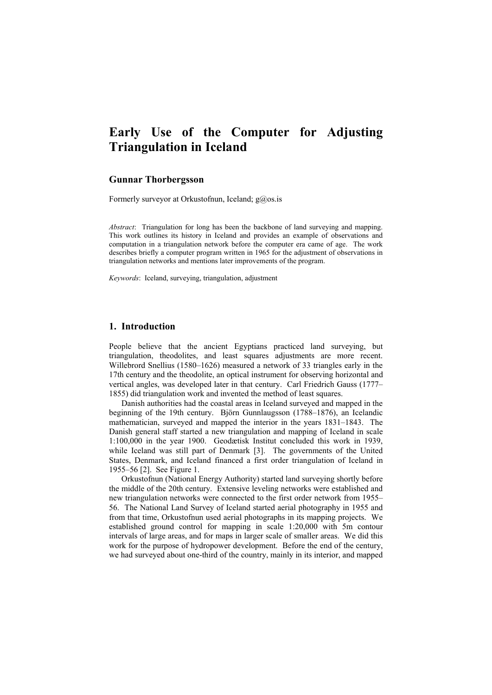# **Early Use of the Computer for Adjusting Triangulation in Iceland**

# **Gunnar Thorbergsson**

Formerly surveyor at Orkustofnun, Iceland;  $g(\partial \rho)$ os.is

*Abstract*: Triangulation for long has been the backbone of land surveying and mapping. This work outlines its history in Iceland and provides an example of observations and computation in a triangulation network before the computer era came of age. The work describes briefly a computer program written in 1965 for the adjustment of observations in triangulation networks and mentions later improvements of the program.

*Keywords*: Iceland, surveying, triangulation, adjustment

#### **1. Introduction**

People believe that the ancient Egyptians practiced land surveying, but triangulation, theodolites, and least squares adjustments are more recent. Willebrord Snellius (1580–1626) measured a network of 33 triangles early in the 17th century and the theodolite, an optical instrument for observing horizontal and vertical angles, was developed later in that century. Carl Friedrich Gauss (1777– 1855) did triangulation work and invented the method of least squares.

Danish authorities had the coastal areas in Iceland surveyed and mapped in the beginning of the 19th century. Björn Gunnlaugsson (1788–1876), an Icelandic mathematician, surveyed and mapped the interior in the years 1831–1843. The Danish general staff started a new triangulation and mapping of Iceland in scale 1:100,000 in the year 1900. Geodætisk Institut concluded this work in 1939, while Iceland was still part of Denmark [3]. The governments of the United States, Denmark, and Iceland financed a first order triangulation of Iceland in 1955–56 [2]. See Figure 1.

Orkustofnun (National Energy Authority) started land surveying shortly before the middle of the 20th century. Extensive leveling networks were established and new triangulation networks were connected to the first order network from 1955– 56. The National Land Survey of Iceland started aerial photography in 1955 and from that time, Orkustofnun used aerial photographs in its mapping projects. We established ground control for mapping in scale 1:20,000 with 5m contour intervals of large areas, and for maps in larger scale of smaller areas. We did this work for the purpose of hydropower development. Before the end of the century, we had surveyed about one-third of the country, mainly in its interior, and mapped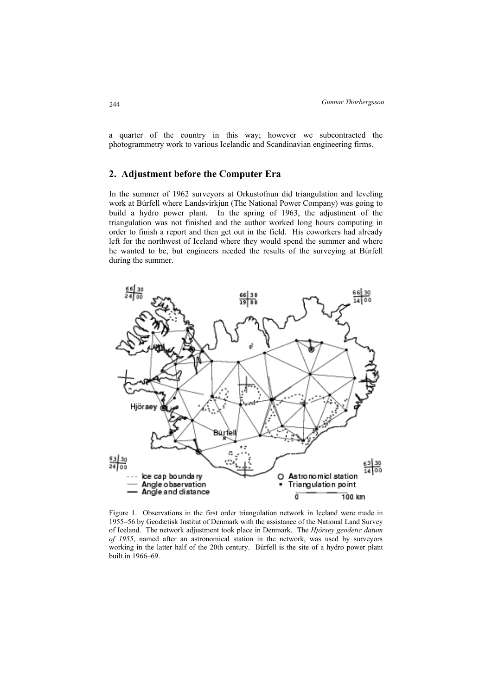a quarter of the country in this way; however we subcontracted the photogrammetry work to various Icelandic and Scandinavian engineering firms.

# **2. Adjustment before the Computer Era**

In the summer of 1962 surveyors at Orkustofnun did triangulation and leveling work at Búrfell where Landsvirkjun (The National Power Company) was going to build a hydro power plant. In the spring of 1963, the adjustment of the triangulation was not finished and the author worked long hours computing in order to finish a report and then get out in the field. His coworkers had already left for the northwest of Iceland where they would spend the summer and where he wanted to be, but engineers needed the results of the surveying at Búrfell during the summer.



Figure 1. Observations in the first order triangulation network in Iceland were made in 1955–56 by Geodætisk Institut of Denmark with the assistance of the National Land Survey of Iceland. The network adjustment took place in Denmark. The *Hjörsey geodetic datum of 1955*, named after an astronomical station in the network, was used by surveyors working in the latter half of the 20th century. Búrfell is the site of a hydro power plant built in 1966–69.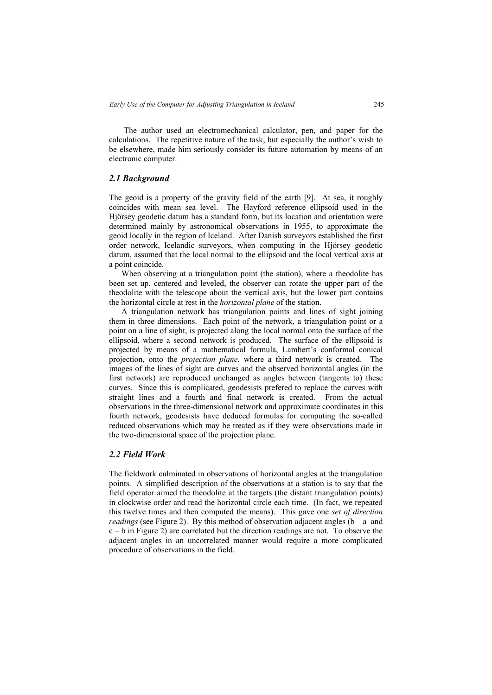The author used an electromechanical calculator, pen, and paper for the calculations. The repetitive nature of the task, but especially the author's wish to be elsewhere, made him seriously consider its future automation by means of an electronic computer.

#### *2.1 Background*

The geoid is a property of the gravity field of the earth [9]. At sea, it roughly coincides with mean sea level. The Hayford reference ellipsoid used in the Hjörsey geodetic datum has a standard form, but its location and orientation were determined mainly by astronomical observations in 1955, to approximate the geoid locally in the region of Iceland. After Danish surveyors established the first order network, Icelandic surveyors, when computing in the Hjörsey geodetic datum, assumed that the local normal to the ellipsoid and the local vertical axis at a point coincide.

When observing at a triangulation point (the station), where a theodolite has been set up, centered and leveled, the observer can rotate the upper part of the theodolite with the telescope about the vertical axis, but the lower part contains the horizontal circle at rest in the *horizontal plane* of the station.

A triangulation network has triangulation points and lines of sight joining them in three dimensions. Each point of the network, a triangulation point or a point on a line of sight, is projected along the local normal onto the surface of the ellipsoid, where a second network is produced. The surface of the ellipsoid is projected by means of a mathematical formula, Lambert's conformal conical projection, onto the *projection plane*, where a third network is created. The images of the lines of sight are curves and the observed horizontal angles (in the first network) are reproduced unchanged as angles between (tangents to) these curves. Since this is complicated, geodesists prefered to replace the curves with straight lines and a fourth and final network is created. From the actual observations in the three-dimensional network and approximate coordinates in this fourth network, geodesists have deduced formulas for computing the so-called reduced observations which may be treated as if they were observations made in the two-dimensional space of the projection plane.

#### *2.2 Field Work*

The fieldwork culminated in observations of horizontal angles at the triangulation points. A simplified description of the observations at a station is to say that the field operator aimed the theodolite at the targets (the distant triangulation points) in clockwise order and read the horizontal circle each time. (In fact, we repeated this twelve times and then computed the means). This gave one *set of direction readings* (see Figure 2). By this method of observation adjacent angles (b – a and  $c - b$  in Figure 2) are correlated but the direction readings are not. To observe the adjacent angles in an uncorrelated manner would require a more complicated procedure of observations in the field.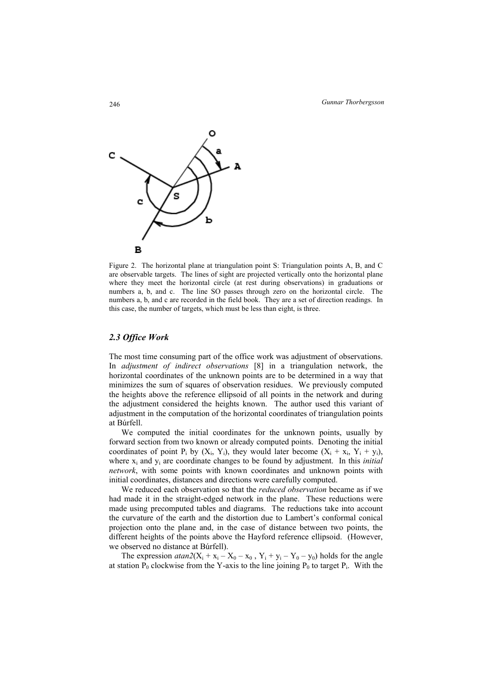246 *Gunnar Thorbergsson* 



Figure 2. The horizontal plane at triangulation point S: Triangulation points A, B, and C are observable targets. The lines of sight are projected vertically onto the horizontal plane where they meet the horizontal circle (at rest during observations) in graduations or numbers a, b, and c. The line SO passes through zero on the horizontal circle. The numbers a, b, and c are recorded in the field book. They are a set of direction readings. In this case, the number of targets, which must be less than eight, is three.

#### *2.3 Office Work*

The most time consuming part of the office work was adjustment of observations. In *adjustment of indirect observations* [8] in a triangulation network, the horizontal coordinates of the unknown points are to be determined in a way that minimizes the sum of squares of observation residues. We previously computed the heights above the reference ellipsoid of all points in the network and during the adjustment considered the heights known. The author used this variant of adjustment in the computation of the horizontal coordinates of triangulation points at Búrfell.

We computed the initial coordinates for the unknown points, usually by forward section from two known or already computed points. Denoting the initial coordinates of point  $P_i$  by  $(X_i, Y_i)$ , they would later become  $(X_i + x_i, Y_i + y_i)$ , where  $x_i$  and  $y_i$  are coordinate changes to be found by adjustment. In this *initial network*, with some points with known coordinates and unknown points with initial coordinates, distances and directions were carefully computed.

We reduced each observation so that the *reduced observation* became as if we had made it in the straight-edged network in the plane. These reductions were made using precomputed tables and diagrams. The reductions take into account the curvature of the earth and the distortion due to Lambert's conformal conical projection onto the plane and, in the case of distance between two points, the different heights of the points above the Hayford reference ellipsoid. (However, we observed no distance at Búrfell).

The expression  $atan2(X_i + x_i - X_0 - x_0, Y_i + y_i - Y_0 - y_0)$  holds for the angle at station  $P_0$  clockwise from the Y-axis to the line joining  $P_0$  to target  $P_i$ . With the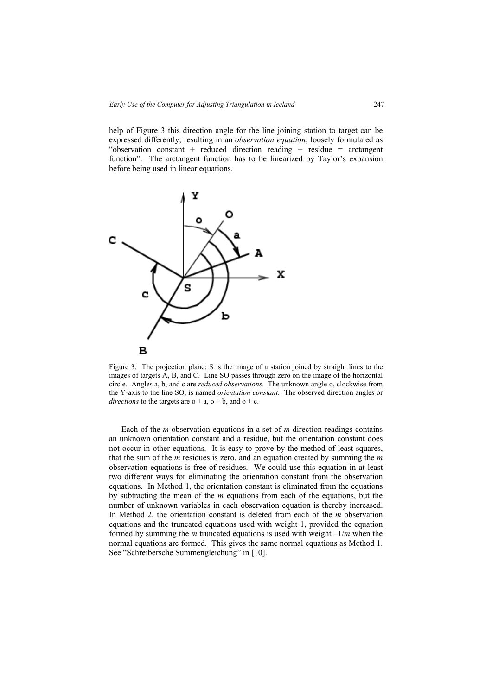help of Figure 3 this direction angle for the line joining station to target can be expressed differently, resulting in an *observation equation*, loosely formulated as "observation constant + reduced direction reading + residue = arctangent function". The arctangent function has to be linearized by Taylor's expansion before being used in linear equations.



Figure 3. The projection plane: S is the image of a station joined by straight lines to the images of targets A, B, and C. Line SO passes through zero on the image of the horizontal circle. Angles a, b, and c are *reduced observations*. The unknown angle o, clockwise from the Y-axis to the line SO, is named *orientation constant*. The observed direction angles or *directions* to the targets are  $o + a$ ,  $o + b$ , and  $o + c$ .

Each of the *m* observation equations in a set of *m* direction readings contains an unknown orientation constant and a residue, but the orientation constant does not occur in other equations. It is easy to prove by the method of least squares, that the sum of the *m* residues is zero, and an equation created by summing the *m* observation equations is free of residues. We could use this equation in at least two different ways for eliminating the orientation constant from the observation equations. In Method 1, the orientation constant is eliminated from the equations by subtracting the mean of the *m* equations from each of the equations, but the number of unknown variables in each observation equation is thereby increased. In Method 2, the orientation constant is deleted from each of the *m* observation equations and the truncated equations used with weight 1, provided the equation formed by summing the *m* truncated equations is used with weight –1/*m* when the normal equations are formed. This gives the same normal equations as Method 1. See "Schreibersche Summengleichung" in [10].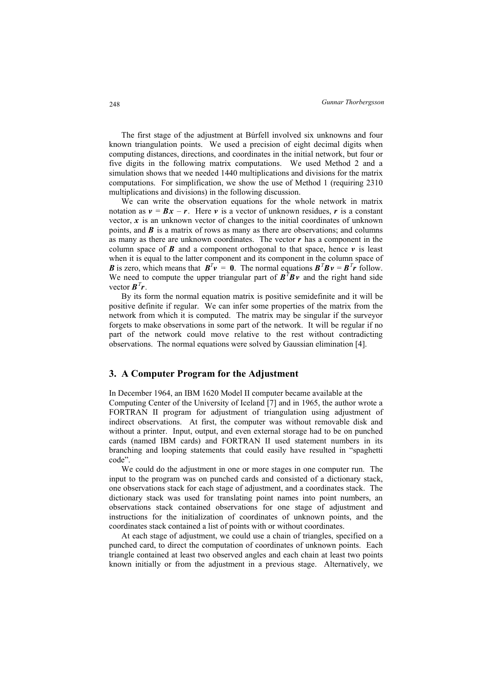The first stage of the adjustment at Búrfell involved six unknowns and four known triangulation points. We used a precision of eight decimal digits when computing distances, directions, and coordinates in the initial network, but four or five digits in the following matrix computations. We used Method 2 and a simulation shows that we needed 1440 multiplications and divisions for the matrix computations. For simplification, we show the use of Method 1 (requiring 2310 multiplications and divisions) in the following discussion.

We can write the observation equations for the whole network in matrix notation as  $v = Bx - r$ . Here *v* is a vector of unknown residues, *r* is a constant vector,  $\boldsymbol{x}$  is an unknown vector of changes to the initial coordinates of unknown points, and *B* is a matrix of rows as many as there are observations; and columns as many as there are unknown coordinates. The vector *r* has a component in the column space of  $\bm{B}$  and a component orthogonal to that space, hence  $\bm{v}$  is least when it is equal to the latter component and its component in the column space of *B* is zero, which means that  $B^T v = 0$ . The normal equations  $B^T B v = B^T r$  follow. We need to compute the upper triangular part of  $B^T B v$  and the right hand side vector  $\boldsymbol{B}^T \boldsymbol{r}$ .

By its form the normal equation matrix is positive semidefinite and it will be positive definite if regular. We can infer some properties of the matrix from the network from which it is computed. The matrix may be singular if the surveyor forgets to make observations in some part of the network. It will be regular if no part of the network could move relative to the rest without contradicting observations. The normal equations were solved by Gaussian elimination [4].

# **3. A Computer Program for the Adjustment**

In December 1964, an IBM 1620 Model II computer became available at the Computing Center of the University of Iceland [7] and in 1965, the author wrote a FORTRAN II program for adjustment of triangulation using adjustment of indirect observations. At first, the computer was without removable disk and without a printer. Input, output, and even external storage had to be on punched cards (named IBM cards) and FORTRAN II used statement numbers in its branching and looping statements that could easily have resulted in "spaghetti code".

We could do the adjustment in one or more stages in one computer run. The input to the program was on punched cards and consisted of a dictionary stack, one observations stack for each stage of adjustment, and a coordinates stack. The dictionary stack was used for translating point names into point numbers, an observations stack contained observations for one stage of adjustment and instructions for the initialization of coordinates of unknown points, and the coordinates stack contained a list of points with or without coordinates.

At each stage of adjustment, we could use a chain of triangles, specified on a punched card, to direct the computation of coordinates of unknown points. Each triangle contained at least two observed angles and each chain at least two points known initially or from the adjustment in a previous stage. Alternatively, we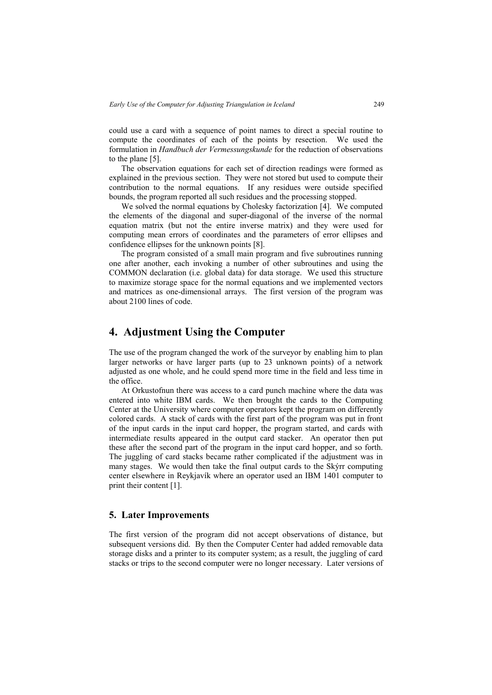could use a card with a sequence of point names to direct a special routine to compute the coordinates of each of the points by resection. We used the formulation in *Handbuch der Vermessungskunde* for the reduction of observations to the plane [5].

The observation equations for each set of direction readings were formed as explained in the previous section. They were not stored but used to compute their contribution to the normal equations. If any residues were outside specified bounds, the program reported all such residues and the processing stopped.

We solved the normal equations by Cholesky factorization [4]. We computed the elements of the diagonal and super-diagonal of the inverse of the normal equation matrix (but not the entire inverse matrix) and they were used for computing mean errors of coordinates and the parameters of error ellipses and confidence ellipses for the unknown points [8].

The program consisted of a small main program and five subroutines running one after another, each invoking a number of other subroutines and using the COMMON declaration (i.e. global data) for data storage. We used this structure to maximize storage space for the normal equations and we implemented vectors and matrices as one-dimensional arrays. The first version of the program was about 2100 lines of code.

# **4. Adjustment Using the Computer**

The use of the program changed the work of the surveyor by enabling him to plan larger networks or have larger parts (up to 23 unknown points) of a network adjusted as one whole, and he could spend more time in the field and less time in the office.

At Orkustofnun there was access to a card punch machine where the data was entered into white IBM cards. We then brought the cards to the Computing Center at the University where computer operators kept the program on differently colored cards. A stack of cards with the first part of the program was put in front of the input cards in the input card hopper, the program started, and cards with intermediate results appeared in the output card stacker. An operator then put these after the second part of the program in the input card hopper, and so forth. The juggling of card stacks became rather complicated if the adjustment was in many stages. We would then take the final output cards to the Skýrr computing center elsewhere in Reykjavík where an operator used an IBM 1401 computer to print their content [1].

#### **5. Later Improvements**

The first version of the program did not accept observations of distance, but subsequent versions did. By then the Computer Center had added removable data storage disks and a printer to its computer system; as a result, the juggling of card stacks or trips to the second computer were no longer necessary. Later versions of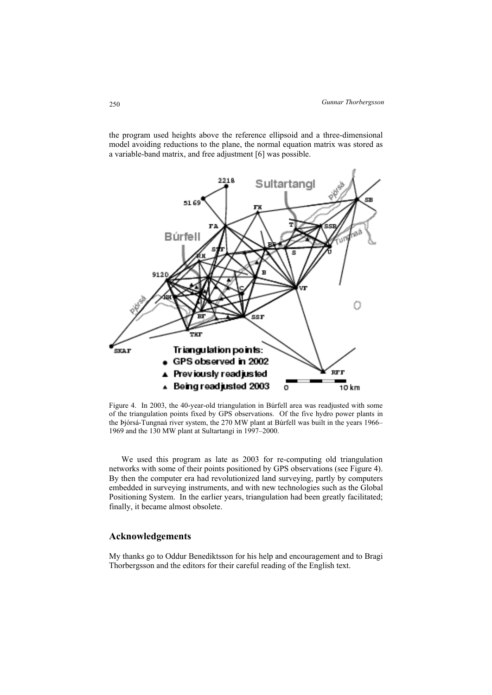

the program used heights above the reference ellipsoid and a three-dimensional model avoiding reductions to the plane, the normal equation matrix was stored as a variable-band matrix, and free adjustment [6] was possible.

Figure 4. In 2003, the 40-year-old triangulation in Búrfell area was readjusted with some of the triangulation points fixed by GPS observations. Of the five hydro power plants in the Þjórsá-Tungnaá river system, the 270 MW plant at Búrfell was built in the years 1966– 1969 and the 130 MW plant at Sultartangi in 1997–2000.

We used this program as late as 2003 for re-computing old triangulation networks with some of their points positioned by GPS observations (see Figure 4). By then the computer era had revolutionized land surveying, partly by computers embedded in surveying instruments, and with new technologies such as the Global Positioning System. In the earlier years, triangulation had been greatly facilitated; finally, it became almost obsolete.

# **Acknowledgements**

My thanks go to Oddur Benediktsson for his help and encouragement and to Bragi Thorbergsson and the editors for their careful reading of the English text.